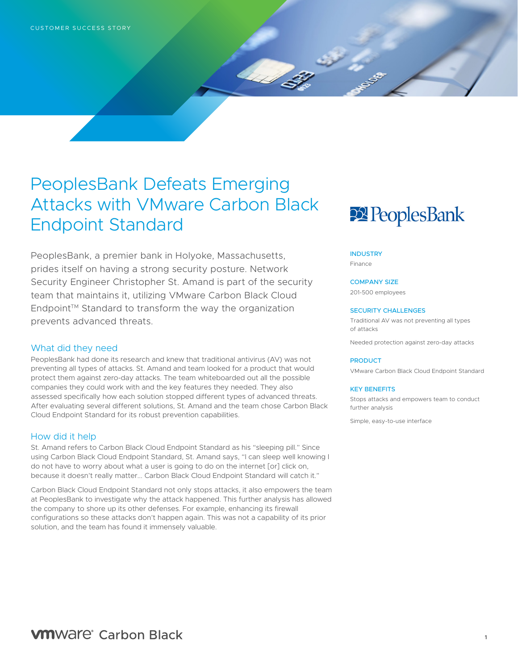## PeoplesBank Defeats Emerging Attacks with VMware Carbon Black Endpoint Standard

PeoplesBank, a premier bank in Holyoke, Massachusetts, prides itself on having a strong security posture. Network Security Engineer Christopher St. Amand is part of the security team that maintains it, utilizing VMware Carbon Black Cloud Endpoint™ Standard to transform the way the organization prevents advanced threats.

#### What did they need

PeoplesBank had done its research and knew that traditional antivirus (AV) was not preventing all types of attacks. St. Amand and team looked for a product that would protect them against zero-day attacks. The team whiteboarded out all the possible companies they could work with and the key features they needed. They also assessed specifically how each solution stopped different types of advanced threats. After evaluating several different solutions, St. Amand and the team chose Carbon Black Cloud Endpoint Standard for its robust prevention capabilities.

#### How did it help

St. Amand refers to Carbon Black Cloud Endpoint Standard as his "sleeping pill." Since using Carbon Black Cloud Endpoint Standard, St. Amand says, "I can sleep well knowing I do not have to worry about what a user is going to do on the internet [or] click on, because it doesn't really matter... Carbon Black Cloud Endpoint Standard will catch it."

Carbon Black Cloud Endpoint Standard not only stops attacks, it also empowers the team at PeoplesBank to investigate why the attack happened. This further analysis has allowed the company to shore up its other defenses. For example, enhancing its firewall configurations so these attacks don't happen again. This was not a capability of its prior solution, and the team has found it immensely valuable.

# **22 PeoplesBank**

#### **INDUSTRY**

Finance

### COMPANY SIZE

201-500 employees

#### SECURITY CHALLENGES

Traditional AV was not preventing all types of attacks

Needed protection against zero-day attacks

#### **PRODUCT**

VMware Carbon Black Cloud Endpoint Standard

#### KEY BENEFITS

Stops attacks and empowers team to conduct further analysis

Simple, easy-to-use interface